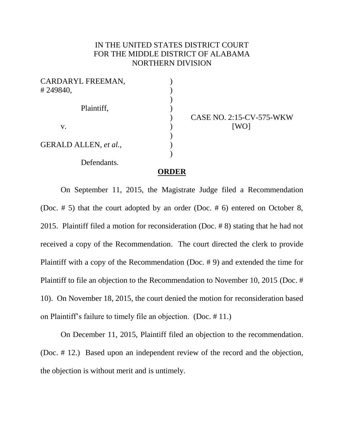## IN THE UNITED STATES DISTRICT COURT FOR THE MIDDLE DISTRICT OF ALABAMA NORTHERN DIVISION

| CARDARYL FREEMAN,     |  |
|-----------------------|--|
| #249840,              |  |
| Plaintiff,            |  |
|                       |  |
| V.                    |  |
|                       |  |
| GERALD ALLEN, et al., |  |
|                       |  |
| Defendants.           |  |

CASE NO. 2:15-CV-575-WKW [WO]

## **ORDER**

On September 11, 2015, the Magistrate Judge filed a Recommendation (Doc. # 5) that the court adopted by an order (Doc. # 6) entered on October 8, 2015. Plaintiff filed a motion for reconsideration (Doc. # 8) stating that he had not received a copy of the Recommendation. The court directed the clerk to provide Plaintiff with a copy of the Recommendation (Doc. # 9) and extended the time for Plaintiff to file an objection to the Recommendation to November 10, 2015 (Doc. # 10). On November 18, 2015, the court denied the motion for reconsideration based on Plaintiff's failure to timely file an objection. (Doc. # 11.)

On December 11, 2015, Plaintiff filed an objection to the recommendation. (Doc. # 12.) Based upon an independent review of the record and the objection, the objection is without merit and is untimely.